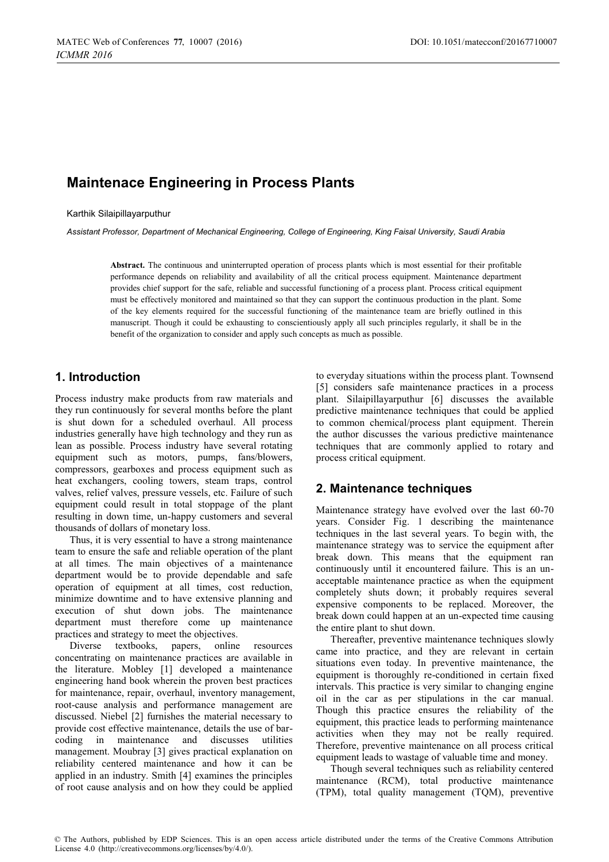# **Maintenace Engineering in Process Plants**

Karthik Silaipillayarputhur

*Assistant Professor, Department of Mechanical Engineering, College of Engineering, King Faisal University, Saudi Arabia* 

**Abstract.** The continuous and uninterrupted operation of process plants which is most essential for their profitable performance depends on reliability and availability of all the critical process equipment. Maintenance department provides chief support for the safe, reliable and successful functioning of a process plant. Process critical equipment must be effectively monitored and maintained so that they can support the continuous production in the plant. Some of the key elements required for the successful functioning of the maintenance team are briefly outlined in this manuscript. Though it could be exhausting to conscientiously apply all such principles regularly, it shall be in the benefit of the organization to consider and apply such concepts as much as possible.

### **1. Introduction**

Process industry make products from raw materials and they run continuously for several months before the plant is shut down for a scheduled overhaul. All process industries generally have high technology and they run as lean as possible. Process industry have several rotating equipment such as motors, pumps, fans/blowers, compressors, gearboxes and process equipment such as heat exchangers, cooling towers, steam traps, control valves, relief valves, pressure vessels, etc. Failure of such equipment could result in total stoppage of the plant resulting in down time, un-happy customers and several thousands of dollars of monetary loss.

Thus, it is very essential to have a strong maintenance team to ensure the safe and reliable operation of the plant at all times. The main objectives of a maintenance department would be to provide dependable and safe operation of equipment at all times, cost reduction, minimize downtime and to have extensive planning and execution of shut down jobs. The maintenance department must therefore come up maintenance practices and strategy to meet the objectives.

Diverse textbooks, papers, online resources concentrating on maintenance practices are available in the literature. Mobley [1] developed a maintenance engineering hand book wherein the proven best practices for maintenance, repair, overhaul, inventory management, root-cause analysis and performance management are discussed. Niebel [2] furnishes the material necessary to provide cost effective maintenance, details the use of barcoding in maintenance and discusses utilities management. Moubray [3] gives practical explanation on reliability centered maintenance and how it can be applied in an industry. Smith [4] examines the principles of root cause analysis and on how they could be applied

to everyday situations within the process plant. Townsend [5] considers safe maintenance practices in a process plant. Silaipillayarputhur [6] discusses the available predictive maintenance techniques that could be applied to common chemical/process plant equipment. Therein the author discusses the various predictive maintenance techniques that are commonly applied to rotary and process critical equipment.

# **2. Maintenance techniques**

Maintenance strategy have evolved over the last 60-70 years. Consider Fig. 1 describing the maintenance techniques in the last several years. To begin with, the maintenance strategy was to service the equipment after break down. This means that the equipment ran continuously until it encountered failure. This is an unacceptable maintenance practice as when the equipment completely shuts down; it probably requires several expensive components to be replaced. Moreover, the break down could happen at an un-expected time causing the entire plant to shut down.

Thereafter, preventive maintenance techniques slowly came into practice, and they are relevant in certain situations even today. In preventive maintenance, the equipment is thoroughly re-conditioned in certain fixed intervals. This practice is very similar to changing engine oil in the car as per stipulations in the car manual. Though this practice ensures the reliability of the equipment, this practice leads to performing maintenance activities when they may not be really required. Therefore, preventive maintenance on all process critical equipment leads to wastage of valuable time and money.

Though several techniques such as reliability centered maintenance (RCM), total productive maintenance (TPM), total quality management (TQM), preventive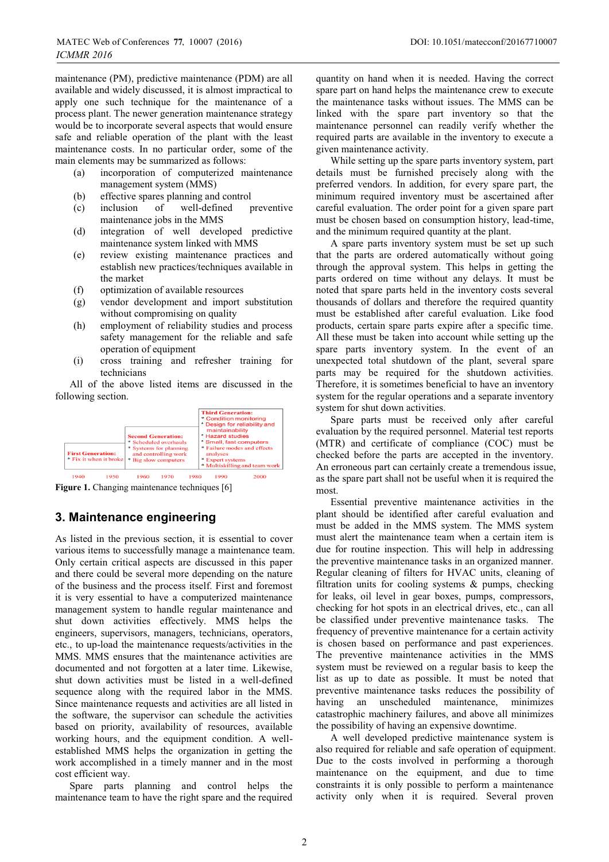maintenance (PM), predictive maintenance (PDM) are all available and widely discussed, it is almost impractical to apply one such technique for the maintenance of a process plant. The newer generation maintenance strategy would be to incorporate several aspects that would ensure safe and reliable operation of the plant with the least maintenance costs. In no particular order, some of the main elements may be summarized as follows:

- (a) incorporation of computerized maintenance management system (MMS)
- (b) effective spares planning and control
- (c) inclusion of well-defined preventive maintenance jobs in the MMS
- (d) integration of well developed predictive maintenance system linked with MMS
- (e) review existing maintenance practices and establish new practices/techniques available in the market
- (f) optimization of available resources
- (g) vendor development and import substitution without compromising on quality
- (h) employment of reliability studies and process safety management for the reliable and safe operation of equipment
- (i) cross training and refresher training for technicians

All of the above listed items are discussed in the following section.



Figure 1. Changing maintenance techniques [6]

### **3. Maintenance engineering**

As listed in the previous section, it is essential to cover various items to successfully manage a maintenance team. Only certain critical aspects are discussed in this paper and there could be several more depending on the nature of the business and the process itself. First and foremost it is very essential to have a computerized maintenance management system to handle regular maintenance and shut down activities effectively. MMS helps the engineers, supervisors, managers, technicians, operators, etc., to up-load the maintenance requests/activities in the MMS. MMS ensures that the maintenance activities are documented and not forgotten at a later time. Likewise, shut down activities must be listed in a well-defined sequence along with the required labor in the MMS. Since maintenance requests and activities are all listed in the software, the supervisor can schedule the activities based on priority, availability of resources, available working hours, and the equipment condition. A wellestablished MMS helps the organization in getting the work accomplished in a timely manner and in the most cost efficient way.

Spare parts planning and control helps the maintenance team to have the right spare and the required

quantity on hand when it is needed. Having the correct spare part on hand helps the maintenance crew to execute the maintenance tasks without issues. The MMS can be linked with the spare part inventory so that the maintenance personnel can readily verify whether the required parts are available in the inventory to execute a given maintenance activity.

While setting up the spare parts inventory system, part details must be furnished precisely along with the preferred vendors. In addition, for every spare part, the minimum required inventory must be ascertained after careful evaluation. The order point for a given spare part must be chosen based on consumption history, lead-time, and the minimum required quantity at the plant.

A spare parts inventory system must be set up such that the parts are ordered automatically without going through the approval system. This helps in getting the parts ordered on time without any delays. It must be noted that spare parts held in the inventory costs several thousands of dollars and therefore the required quantity must be established after careful evaluation. Like food products, certain spare parts expire after a specific time. All these must be taken into account while setting up the spare parts inventory system. In the event of an unexpected total shutdown of the plant, several spare parts may be required for the shutdown activities. Therefore, it is sometimes beneficial to have an inventory system for the regular operations and a separate inventory system for shut down activities.

Spare parts must be received only after careful evaluation by the required personnel. Material test reports (MTR) and certificate of compliance (COC) must be checked before the parts are accepted in the inventory. An erroneous part can certainly create a tremendous issue, as the spare part shall not be useful when it is required the most.

Essential preventive maintenance activities in the plant should be identified after careful evaluation and must be added in the MMS system. The MMS system must alert the maintenance team when a certain item is due for routine inspection. This will help in addressing the preventive maintenance tasks in an organized manner. Regular cleaning of filters for HVAC units, cleaning of filtration units for cooling systems & pumps, checking for leaks, oil level in gear boxes, pumps, compressors, checking for hot spots in an electrical drives, etc., can all be classified under preventive maintenance tasks. The frequency of preventive maintenance for a certain activity is chosen based on performance and past experiences. The preventive maintenance activities in the MMS system must be reviewed on a regular basis to keep the list as up to date as possible. It must be noted that preventive maintenance tasks reduces the possibility of having an unscheduled maintenance, minimizes catastrophic machinery failures, and above all minimizes the possibility of having an expensive downtime.

A well developed predictive maintenance system is also required for reliable and safe operation of equipment. Due to the costs involved in performing a thorough maintenance on the equipment, and due to time constraints it is only possible to perform a maintenance activity only when it is required. Several proven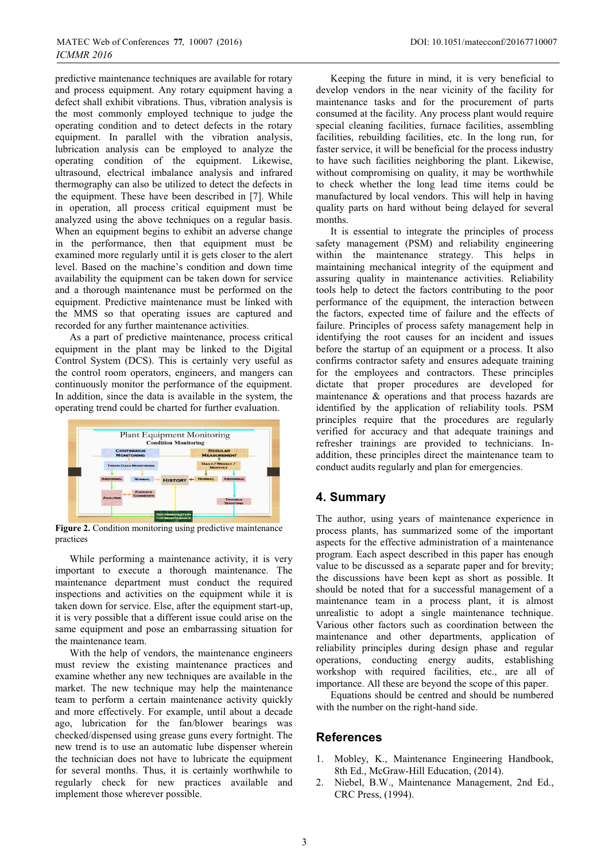predictive maintenance techniques are available for rotary and process equipment. Any rotary equipment having a defect shall exhibit vibrations. Thus, vibration analysis is the most commonly employed technique to judge the operating condition and to detect defects in the rotary equipment. In parallel with the vibration analysis, lubrication analysis can be employed to analyze the operating condition of the equipment. Likewise, ultrasound, electrical imbalance analysis and infrared thermography can also be utilized to detect the defects in the equipment. These have been described in [7]. While in operation, all process critical equipment must be analyzed using the above techniques on a regular basis. When an equipment begins to exhibit an adverse change in the performance, then that equipment must be examined more regularly until it is gets closer to the alert level. Based on the machine's condition and down time availability the equipment can be taken down for service and a thorough maintenance must be performed on the equipment. Predictive maintenance must be linked with the MMS so that operating issues are captured and recorded for any further maintenance activities.

As a part of predictive maintenance, process critical equipment in the plant may be linked to the Digital Control System (DCS). This is certainly very useful as the control room operators, engineers, and mangers can continuously monitor the performance of the equipment. In addition, since the data is available in the system, the operating trend could be charted for further evaluation.



**Figure 2.** Condition monitoring using predictive maintenance practices

While performing a maintenance activity, it is very important to execute a thorough maintenance. The maintenance department must conduct the required inspections and activities on the equipment while it is taken down for service. Else, after the equipment start-up, it is very possible that a different issue could arise on the same equipment and pose an embarrassing situation for the maintenance team.

With the help of vendors, the maintenance engineers must review the existing maintenance practices and examine whether any new techniques are available in the market. The new technique may help the maintenance team to perform a certain maintenance activity quickly and more effectively. For example, until about a decade ago, lubrication for the fan/blower bearings was checked/dispensed using grease guns every fortnight. The new trend is to use an automatic lube dispenser wherein the technician does not have to lubricate the equipment for several months. Thus, it is certainly worthwhile to regularly check for new practices available and implement those wherever possible.

Keeping the future in mind, it is very beneficial to develop vendors in the near vicinity of the facility for maintenance tasks and for the procurement of parts consumed at the facility. Any process plant would require special cleaning facilities, furnace facilities, assembling facilities, rebuilding facilities, etc. In the long run, for faster service, it will be beneficial for the process industry to have such facilities neighboring the plant. Likewise, without compromising on quality, it may be worthwhile to check whether the long lead time items could be manufactured by local vendors. This will help in having quality parts on hard without being delayed for several months.

It is essential to integrate the principles of process safety management (PSM) and reliability engineering within the maintenance strategy. This helps in maintaining mechanical integrity of the equipment and assuring quality in maintenance activities. Reliability tools help to detect the factors contributing to the poor performance of the equipment, the interaction between the factors, expected time of failure and the effects of failure. Principles of process safety management help in identifying the root causes for an incident and issues before the startup of an equipment or a process. It also confirms contractor safety and ensures adequate training for the employees and contractors. These principles dictate that proper procedures are developed for maintenance & operations and that process hazards are identified by the application of reliability tools. PSM principles require that the procedures are regularly verified for accuracy and that adequate trainings and refresher trainings are provided to technicians. Inaddition, these principles direct the maintenance team to conduct audits regularly and plan for emergencies.

# **4. Summary**

The author, using years of maintenance experience in process plants, has summarized some of the important aspects for the effective administration of a maintenance program. Each aspect described in this paper has enough value to be discussed as a separate paper and for brevity; the discussions have been kept as short as possible. It should be noted that for a successful management of a maintenance team in a process plant, it is almost unrealistic to adopt a single maintenance technique. Various other factors such as coordination between the maintenance and other departments, application of reliability principles during design phase and regular operations, conducting energy audits, establishing workshop with required facilities, etc., are all of importance. All these are beyond the scope of this paper.

Equations should be centred and should be numbered with the number on the right-hand side.

### **References**

- 1. Mobley, K., Maintenance Engineering Handbook, 8th Ed., McGraw-Hill Education, (2014).
- 2. Niebel, B.W., Maintenance Management, 2nd Ed., CRC Press, (1994).